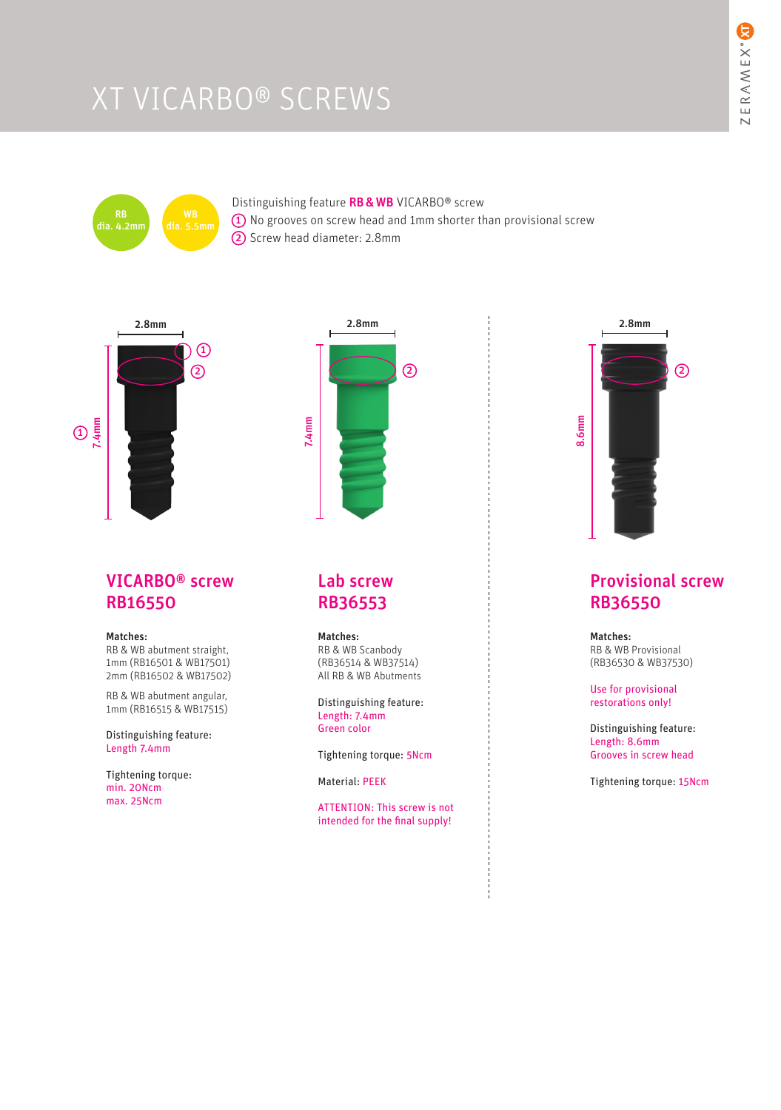# XT VICARBO® SCREWS



### Distinguishing feature RB & WB VICARBO® screw  $\textbf{\textup{1}}$  No grooves on screw head and 1mm shorter than provisional screw 2 Screw head diameter: 2.8mm



# VICARBO® screw RB16550

### Matches:

RB & WB abutment straight, 1mm (RB16501 & WB17501) 2mm (RB16502 & WB17502)

RB & WB abutment angular, 1mm (RB16515 & WB17515)

Distinguishing feature: Length 7.4mm

Tightening torque: min. 20Ncm max. 25Ncm



# Lab screw RB36553

#### Matches:

RB & WB Scanbody (RB36514 & WB37514) All RB & WB Abutments

Distinguishing feature: Length: 7.4mm Green color

Tightening torque: 5Ncm

Material: PEEK

ATTENTION: This screw is not intended for the final supply!



# Provisional screw RB36550

Matches: RB & WB Provisional (RB36530 & WB37530)

Use for provisional restorations only!

Distinguishing feature: Length: 8.6mm Grooves in screw head

Tightening torque: 15Ncm